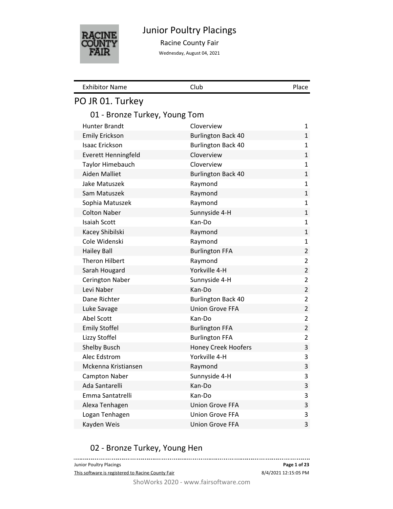

# Junior Poultry Placings

Racine County Fair

Wednesday, August 04, 2021

| <b>Exhibitor Name</b>         | Club                       | Place          |
|-------------------------------|----------------------------|----------------|
| PO JR 01. Turkey              |                            |                |
| 01 - Bronze Turkey, Young Tom |                            |                |
| <b>Hunter Brandt</b>          | Cloverview                 | 1              |
| <b>Emily Erickson</b>         | <b>Burlington Back 40</b>  | $\mathbf{1}$   |
| <b>Isaac Erickson</b>         | <b>Burlington Back 40</b>  | 1              |
| <b>Everett Henningfeld</b>    | Cloverview                 | $\mathbf{1}$   |
| Taylor Himebauch              | Cloverview                 | 1              |
| <b>Aiden Malliet</b>          | <b>Burlington Back 40</b>  | $\mathbf{1}$   |
| Jake Matuszek                 | Raymond                    | 1              |
| Sam Matuszek                  | Raymond                    | $\mathbf{1}$   |
| Sophia Matuszek               | Raymond                    | 1              |
| <b>Colton Naber</b>           | Sunnyside 4-H              | $\mathbf{1}$   |
| <b>Isaiah Scott</b>           | Kan-Do                     | 1              |
| Kacey Shibilski               | Raymond                    | $\mathbf{1}$   |
| Cole Widenski                 | Raymond                    | 1              |
| <b>Hailey Ball</b>            | <b>Burlington FFA</b>      | $\overline{2}$ |
| <b>Theron Hilbert</b>         | Raymond                    | 2              |
| Sarah Hougard                 | Yorkville 4-H              | $\overline{2}$ |
| <b>Cerington Naber</b>        | Sunnyside 4-H              | 2              |
| Levi Naber                    | Kan-Do                     | $\overline{2}$ |
| Dane Richter                  | <b>Burlington Back 40</b>  | 2              |
| Luke Savage                   | <b>Union Grove FFA</b>     | $\overline{2}$ |
| Abel Scott                    | Kan-Do                     | 2              |
| <b>Emily Stoffel</b>          | <b>Burlington FFA</b>      | $\overline{2}$ |
| Lizzy Stoffel                 | <b>Burlington FFA</b>      | $\overline{2}$ |
| Shelby Busch                  | <b>Honey Creek Hoofers</b> | 3              |
| Alec Edstrom                  | Yorkville 4-H              | 3              |
| Mckenna Kristiansen           | Raymond                    | 3              |
| Campton Naber                 | Sunnyside 4-H              | 3              |
| Ada Santarelli                | Kan-Do                     | 3              |
| Emma Santatrelli              | Kan-Do                     | 3              |
| Alexa Tenhagen                | <b>Union Grove FFA</b>     | 3              |
| Logan Tenhagen                | <b>Union Grove FFA</b>     | 3              |
| Kayden Weis                   | <b>Union Grove FFA</b>     | 3              |

# 02 - Bronze Turkey, Young Hen

| ----------------------------<br>------------------------------ |                      |
|----------------------------------------------------------------|----------------------|
| Junior Poultry Placings                                        | Page 1 of 23         |
| This software is registered to Racine County Fair              | 8/4/2021 12:15:05 PM |
|                                                                |                      |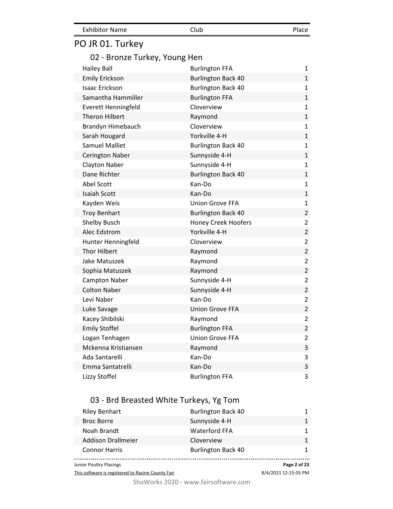Exhibitor Name Club Club Place

# PO JR 01. Turkey

## 02 - Bronze Turkey, Young Hen

| <b>Hailey Ball</b>         | <b>Burlington FFA</b>      | 1              |
|----------------------------|----------------------------|----------------|
| <b>Emily Erickson</b>      | <b>Burlington Back 40</b>  | $\mathbf{1}$   |
| Isaac Erickson             | <b>Burlington Back 40</b>  | $\mathbf{1}$   |
| Samantha Hammiller         | <b>Burlington FFA</b>      | $\mathbf{1}$   |
| <b>Everett Henningfeld</b> | Cloverview                 | $\mathbf 1$    |
| <b>Theron Hilbert</b>      | Raymond                    | $\mathbf{1}$   |
| Brandyn Himebauch          | Cloverview                 | $\mathbf 1$    |
| Sarah Hougard              | Yorkville 4-H              | $\mathbf{1}$   |
| <b>Samuel Malliet</b>      | <b>Burlington Back 40</b>  | $\mathbf 1$    |
| <b>Cerington Naber</b>     | Sunnyside 4-H              | $\mathbf{1}$   |
| <b>Clayton Naber</b>       | Sunnyside 4-H              | $\mathbf 1$    |
| Dane Richter               | <b>Burlington Back 40</b>  | $\mathbf 1$    |
| <b>Abel Scott</b>          | Kan-Do                     | $\mathbf 1$    |
| <b>Isaiah Scott</b>        | Kan-Do                     | $\mathbf{1}$   |
| Kayden Weis                | <b>Union Grove FFA</b>     | $\mathbf{1}$   |
| <b>Troy Benhart</b>        | <b>Burlington Back 40</b>  | $\overline{2}$ |
| Shelby Busch               | <b>Honey Creek Hoofers</b> | $\overline{2}$ |
| Alec Edstrom               | Yorkville 4-H              | $\overline{2}$ |
| Hunter Henningfeld         | Cloverview                 | $\overline{2}$ |
| <b>Thor Hilbert</b>        | Raymond                    | $\overline{2}$ |
| Jake Matuszek              | Raymond                    | $\overline{2}$ |
| Sophia Matuszek            | Raymond                    | $\overline{2}$ |
| <b>Campton Naber</b>       | Sunnyside 4-H              | $\overline{2}$ |
| <b>Colton Naber</b>        | Sunnyside 4-H              | $\overline{2}$ |
| Levi Naber                 | Kan-Do                     | $\overline{2}$ |
| Luke Savage                | <b>Union Grove FFA</b>     | $\overline{2}$ |
| Kacey Shibilski            | Raymond                    | $\overline{2}$ |
| <b>Emily Stoffel</b>       | <b>Burlington FFA</b>      | $\overline{2}$ |
| Logan Tenhagen             | <b>Union Grove FFA</b>     | $\overline{2}$ |
| Mckenna Kristiansen        | Raymond                    | 3              |
| Ada Santarelli             | Kan-Do                     | 3              |
| Emma Santatrelli           | Kan-Do                     | 3              |
| Lizzy Stoffel              | <b>Burlington FFA</b>      | 3              |

## 03 - Brd Breasted White Turkeys, Yg Tom

| Junior Poultry Placings   |                           | Page 2 of 23 |
|---------------------------|---------------------------|--------------|
| <b>Connor Harris</b>      | <b>Burlington Back 40</b> |              |
| <b>Addison Drallmeier</b> | Cloverview                | 1            |
| Noah Brandt               | <b>Waterford FFA</b>      |              |
| <b>Broc Borre</b>         | Sunnyside 4-H             |              |
| <b>Riley Benhart</b>      | <b>Burlington Back 40</b> |              |

This software is registered to Racine County Fair

8/4/2021 12:15:05 PM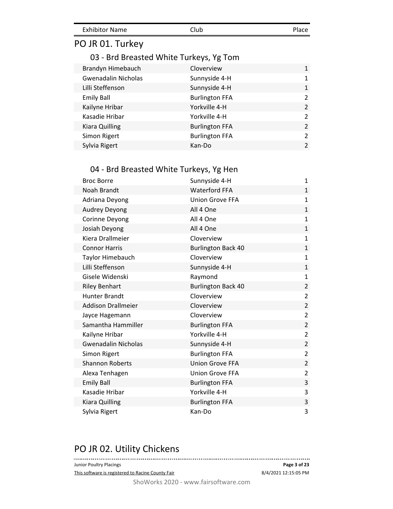| <b>Exhibitor Name</b> | Club | Place |
|-----------------------|------|-------|
|                       |      |       |

# PO JR 01. Turkey

## 03 - Brd Breasted White Turkeys, Yg Tom

| Brandyn Himebauch          | Cloverview            | 1                        |
|----------------------------|-----------------------|--------------------------|
| <b>Gwenadalin Nicholas</b> | Sunnyside 4-H         | 1                        |
| Lilli Steffenson           | Sunnyside 4-H         | 1                        |
| <b>Emily Ball</b>          | <b>Burlington FFA</b> | $\mathcal{P}$            |
| Kailyne Hribar             | Yorkville 4-H         | $\mathcal{P}$            |
| Kasadie Hribar             | Yorkville 4-H         | $\mathfrak{p}$           |
| Kiara Quilling             | <b>Burlington FFA</b> | $\overline{2}$           |
| Simon Rigert               | <b>Burlington FFA</b> | $\mathcal{P}$            |
| Sylvia Rigert              | Kan-Do                | $\overline{\mathcal{L}}$ |

## 04 - Brd Breasted White Turkeys, Yg Hen

| <b>Broc Borre</b>          | Sunnyside 4-H             | 1              |
|----------------------------|---------------------------|----------------|
| Noah Brandt                | <b>Waterford FFA</b>      | $\mathbf{1}$   |
| Adriana Deyong             | <b>Union Grove FFA</b>    | $\mathbf{1}$   |
| Audrey Deyong              | All 4 One                 | $\mathbf{1}$   |
| Corinne Deyong             | All 4 One                 | 1              |
| Josiah Deyong              | All 4 One                 | $\mathbf{1}$   |
| Kiera Drallmeier           | Cloverview                | 1              |
| <b>Connor Harris</b>       | <b>Burlington Back 40</b> | $\mathbf{1}$   |
| Taylor Himebauch           | Cloverview                | $\mathbf{1}$   |
| Lilli Steffenson           | Sunnyside 4-H             | $\mathbf{1}$   |
| Gisele Widenski            | Raymond                   | $\mathbf{1}$   |
| <b>Riley Benhart</b>       | <b>Burlington Back 40</b> | $\overline{2}$ |
| <b>Hunter Brandt</b>       | Cloverview                | $\overline{2}$ |
| <b>Addison Drallmeier</b>  | Cloverview                | $\overline{2}$ |
| Jayce Hagemann             | Cloverview                | $\overline{2}$ |
| Samantha Hammiller         | <b>Burlington FFA</b>     | $\overline{2}$ |
| Kailyne Hribar             | Yorkville 4-H             | $\overline{2}$ |
| <b>Gwenadalin Nicholas</b> | Sunnyside 4-H             | $\overline{2}$ |
| Simon Rigert               | <b>Burlington FFA</b>     | $\overline{2}$ |
| <b>Shannon Roberts</b>     | <b>Union Grove FFA</b>    | $\overline{2}$ |
| Alexa Tenhagen             | <b>Union Grove FFA</b>    | $\overline{2}$ |
| <b>Emily Ball</b>          | <b>Burlington FFA</b>     | 3              |
| Kasadie Hribar             | Yorkville 4-H             | 3              |
| Kiara Quilling             | <b>Burlington FFA</b>     | 3              |
| Sylvia Rigert              | Kan-Do                    | 3              |

### PO JR 02. Utility Chickens

Junior Poultry Placings **Page 3 of 23** This software is registered to Racine County Fair 8/4/2021 12:15:05 PM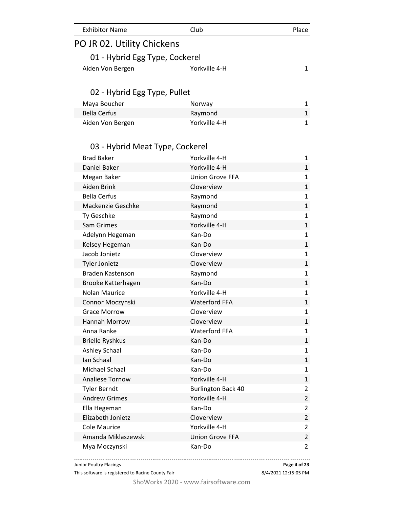| <b>Exhibitor Name</b>          | Club | Place |
|--------------------------------|------|-------|
| PO JR 02. Utility Chickens     |      |       |
| 01 - Hybrid Egg Type, Cockerel |      |       |

| Aiden Von Bergen | Yorkville 4-H |  |
|------------------|---------------|--|
|                  |               |  |

## 02 - Hybrid Egg Type, Pullet

| Maya Boucher     | Norway        |  |
|------------------|---------------|--|
| Bella Cerfus     | Raymond       |  |
| Aiden Von Bergen | Yorkville 4-H |  |

## 03 - Hybrid Meat Type, Cockerel

| <b>Brad Baker</b>      | Yorkville 4-H             | $\mathbf{1}$   |
|------------------------|---------------------------|----------------|
| <b>Daniel Baker</b>    | Yorkville 4-H             | $\mathbf{1}$   |
| Megan Baker            | <b>Union Grove FFA</b>    | $\mathbf{1}$   |
| Aiden Brink            | Cloverview                | $\mathbf{1}$   |
| <b>Bella Cerfus</b>    | Raymond                   | $\mathbf{1}$   |
| Mackenzie Geschke      | Raymond                   | $\mathbf{1}$   |
| Ty Geschke             | Raymond                   | $\mathbf{1}$   |
| Sam Grimes             | Yorkville 4-H             | $\mathbf{1}$   |
| Adelynn Hegeman        | Kan-Do                    | $\mathbf{1}$   |
| Kelsey Hegeman         | Kan-Do                    | $\mathbf{1}$   |
| Jacob Jonietz          | Cloverview                | $\mathbf{1}$   |
| <b>Tyler Jonietz</b>   | Cloverview                | $\mathbf{1}$   |
| Braden Kastenson       | Raymond                   | $\mathbf{1}$   |
| Brooke Katterhagen     | Kan-Do                    | $\mathbf{1}$   |
| <b>Nolan Maurice</b>   | Yorkville 4-H             | $\mathbf{1}$   |
| Connor Moczynski       | <b>Waterford FFA</b>      | $\mathbf{1}$   |
| <b>Grace Morrow</b>    | Cloverview                | $\mathbf{1}$   |
| Hannah Morrow          | Cloverview                | $\mathbf{1}$   |
| Anna Ranke             | <b>Waterford FFA</b>      | $\mathbf{1}$   |
| <b>Brielle Ryshkus</b> | Kan-Do                    | $\mathbf{1}$   |
| <b>Ashley Schaal</b>   | Kan-Do                    | $\mathbf{1}$   |
| Ian Schaal             | Kan-Do                    | $\mathbf{1}$   |
| Michael Schaal         | Kan-Do                    | $\mathbf{1}$   |
| Analiese Tornow        | Yorkville 4-H             | $\mathbf{1}$   |
| <b>Tyler Berndt</b>    | <b>Burlington Back 40</b> | $\overline{2}$ |
| <b>Andrew Grimes</b>   | Yorkville 4-H             | $\overline{2}$ |
| Ella Hegeman           | Kan-Do                    | $\overline{2}$ |
| Elizabeth Jonietz      | Cloverview                | $\overline{2}$ |
| <b>Cole Maurice</b>    | Yorkville 4-H             | $\overline{2}$ |
| Amanda Miklaszewski    | <b>Union Grove FFA</b>    | $\overline{2}$ |
| Mya Moczynski          | Kan-Do                    | $\overline{2}$ |

Junior Poultry Placings

This software is registered to Racine County Fair

. . . . . . . . . . . . . . . **Page 4 of 23**

8/4/2021 12:15:05 PM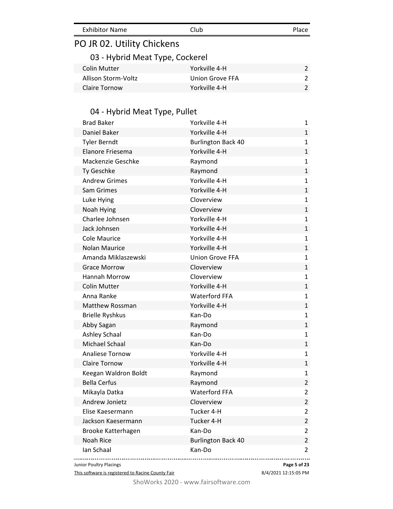| <b>Exhibitor Name</b><br>Club | Place |
|-------------------------------|-------|
|-------------------------------|-------|

# PO JR 02. Utility Chickens

## 03 - Hybrid Meat Type, Cockerel

| Colin Mutter        | Yorkville 4-H   |  |
|---------------------|-----------------|--|
| Allison Storm-Voltz | Union Grove FFA |  |
| Claire Tornow       | Yorkville 4-H   |  |

# 04 - Hybrid Meat Type, Pullet

| <b>Brad Baker</b>       | Yorkville 4-H             | 1              |
|-------------------------|---------------------------|----------------|
| Daniel Baker            | Yorkville 4-H             | $\mathbf{1}$   |
| <b>Tyler Berndt</b>     | <b>Burlington Back 40</b> | $\mathbf{1}$   |
| Elanore Friesema        | Yorkville 4-H             | $\mathbf{1}$   |
| Mackenzie Geschke       | Raymond                   | $\mathbf{1}$   |
| Ty Geschke              | Raymond                   | $\mathbf{1}$   |
| <b>Andrew Grimes</b>    | Yorkville 4-H             | $\mathbf{1}$   |
| Sam Grimes              | Yorkville 4-H             | $\mathbf{1}$   |
| Luke Hying              | Cloverview                | $\mathbf{1}$   |
| Noah Hying              | Cloverview                | $\mathbf{1}$   |
| Charlee Johnsen         | Yorkville 4-H             | $\mathbf{1}$   |
| Jack Johnsen            | Yorkville 4-H             | $\mathbf{1}$   |
| Cole Maurice            | Yorkville 4-H             | $\mathbf{1}$   |
| Nolan Maurice           | Yorkville 4-H             | $\mathbf{1}$   |
| Amanda Miklaszewski     | <b>Union Grove FFA</b>    | $\mathbf{1}$   |
| <b>Grace Morrow</b>     | Cloverview                | $\mathbf{1}$   |
| <b>Hannah Morrow</b>    | Cloverview                | $\mathbf{1}$   |
| <b>Colin Mutter</b>     | Yorkville 4-H             | $\mathbf{1}$   |
| Anna Ranke              | <b>Waterford FFA</b>      | $\mathbf{1}$   |
| <b>Matthew Rossman</b>  | Yorkville 4-H             | $\mathbf{1}$   |
| <b>Brielle Ryshkus</b>  | Kan-Do                    | 1              |
| Abby Sagan              | Raymond                   | $\mathbf{1}$   |
| Ashley Schaal           | Kan-Do                    | $\mathbf{1}$   |
| Michael Schaal          | Kan-Do                    | $\mathbf{1}$   |
| <b>Analiese Tornow</b>  | Yorkville 4-H             | 1              |
| <b>Claire Tornow</b>    | Yorkville 4-H             | $\mathbf{1}$   |
| Keegan Waldron Boldt    | Raymond                   | $\mathbf{1}$   |
| <b>Bella Cerfus</b>     | Raymond                   | $\overline{2}$ |
| Mikayla Datka           | <b>Waterford FFA</b>      | $\overline{2}$ |
| Andrew Jonietz          | Cloverview                | $\overline{2}$ |
| Elise Kaesermann        | Tucker 4-H                | 2              |
| Jackson Kaesermann      | Tucker 4-H                | $\overline{2}$ |
| Brooke Katterhagen      | Kan-Do                    | $\overline{2}$ |
| Noah Rice               | <b>Burlington Back 40</b> | $\overline{2}$ |
| Ian Schaal              | Kan-Do                    | $\overline{2}$ |
| Junior Poultry Placings |                           | Page 5 of 23   |

This software is registered to Racine County Fair

8/4/2021 12:15:05 PM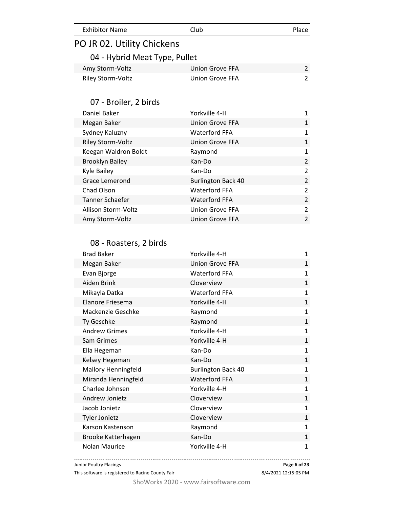| <b>Exhibitor Name</b> | Club | Place |
|-----------------------|------|-------|

# PO JR 02. Utility Chickens

## 04 - Hybrid Meat Type, Pullet

| Amy Storm-Voltz   | Union Grove FFA |  |
|-------------------|-----------------|--|
| Riley Storm-Voltz | Union Grove FFA |  |

### 07 - Broiler, 2 birds

| Daniel Baker           | Yorkville 4-H             |                |
|------------------------|---------------------------|----------------|
| Megan Baker            | <b>Union Grove FFA</b>    | 1              |
| Sydney Kaluzny         | <b>Waterford FFA</b>      | 1              |
| Riley Storm-Voltz      | <b>Union Grove FFA</b>    | 1              |
| Keegan Waldron Boldt   | Raymond                   | 1              |
| <b>Brooklyn Bailey</b> | Kan-Do                    | $\mathcal{L}$  |
| Kyle Bailey            | Kan-Do                    | $\mathcal{P}$  |
| Grace Lemerond         | <b>Burlington Back 40</b> | $\mathcal{L}$  |
| Chad Olson             | <b>Waterford FFA</b>      | $\overline{2}$ |
| Tanner Schaefer        | <b>Waterford FFA</b>      | $\mathcal{L}$  |
| Allison Storm-Voltz    | Union Grove FFA           | $\mathcal{P}$  |
| Amy Storm-Voltz        | Union Grove FFA           | $\mathfrak{p}$ |

### 08 - Roasters, 2 birds

| <b>Brad Baker</b>          | Yorkville 4-H             | $\mathbf{1}$ |
|----------------------------|---------------------------|--------------|
| Megan Baker                | <b>Union Grove FFA</b>    | 1            |
| Evan Bjorge                | <b>Waterford FFA</b>      | $\mathbf{1}$ |
| Aiden Brink                | Cloverview                | $\mathbf{1}$ |
| Mikayla Datka              | <b>Waterford FFA</b>      | $\mathbf{1}$ |
| Elanore Friesema           | Yorkville 4-H             | $\mathbf{1}$ |
| Mackenzie Geschke          | Raymond                   | $\mathbf{1}$ |
| Ty Geschke                 | Raymond                   | $\mathbf{1}$ |
| <b>Andrew Grimes</b>       | Yorkville 4-H             | $\mathbf{1}$ |
| Sam Grimes                 | Yorkville 4-H             | $\mathbf{1}$ |
| Ella Hegeman               | Kan-Do                    | $\mathbf 1$  |
| Kelsey Hegeman             | Kan-Do                    | $\mathbf{1}$ |
| <b>Mallory Henningfeld</b> | <b>Burlington Back 40</b> | $\mathbf{1}$ |
| Miranda Henningfeld        | <b>Waterford FFA</b>      | $\mathbf{1}$ |
| Charlee Johnsen            | Yorkville 4-H             | $\mathbf{1}$ |
| Andrew Jonietz             | Cloverview                | $\mathbf{1}$ |
| Jacob Jonietz              | Cloverview                | $\mathbf{1}$ |
| <b>Tyler Jonietz</b>       | Cloverview                | $\mathbf 1$  |
| Karson Kastenson           | Raymond                   | $\mathbf{1}$ |
| Brooke Katterhagen         | Kan-Do                    | $\mathbf{1}$ |
| Nolan Maurice              | Yorkville 4-H             | 1            |

Junior Poultry Placings

. . . . . . . . . . . . . . . **Page 6 of 23**

8/4/2021 12:15:05 PM

This software is registered to Racine County Fair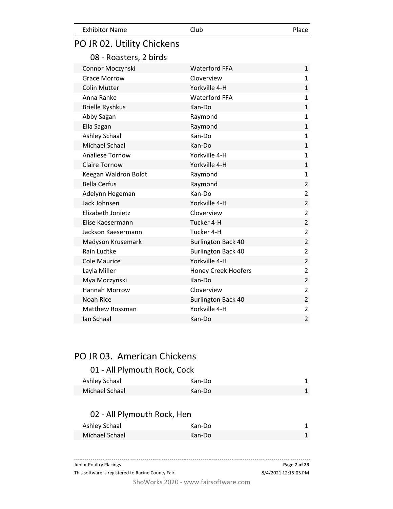| <b>Exhibitor Name</b>      | Club                       | Place          |
|----------------------------|----------------------------|----------------|
| PO JR 02. Utility Chickens |                            |                |
| 08 - Roasters, 2 birds     |                            |                |
| Connor Moczynski           | <b>Waterford FFA</b>       | $\mathbf{1}$   |
| <b>Grace Morrow</b>        | Cloverview                 | 1              |
| <b>Colin Mutter</b>        | Yorkville 4-H              | $\mathbf{1}$   |
| Anna Ranke                 | <b>Waterford FFA</b>       | 1              |
| <b>Brielle Ryshkus</b>     | Kan-Do                     | $\mathbf{1}$   |
| Abby Sagan                 | Raymond                    | 1              |
| Ella Sagan                 | Raymond                    | $\mathbf 1$    |
| <b>Ashley Schaal</b>       | Kan-Do                     | 1              |
| Michael Schaal             | Kan-Do                     | $\mathbf 1$    |
| <b>Analiese Tornow</b>     | Yorkville 4-H              | 1              |
| <b>Claire Tornow</b>       | Yorkville 4-H              | $\mathbf 1$    |
| Keegan Waldron Boldt       | Raymond                    | 1              |
| <b>Bella Cerfus</b>        | Raymond                    | $\overline{2}$ |
| Adelynn Hegeman            | Kan-Do                     | $\overline{2}$ |
| Jack Johnsen               | Yorkville 4-H              | $\overline{2}$ |
| Elizabeth Jonietz          | Cloverview                 | 2              |
| Elise Kaesermann           | Tucker 4-H                 | $\overline{2}$ |
| Jackson Kaesermann         | Tucker 4-H                 | $\overline{2}$ |
| Madyson Krusemark          | <b>Burlington Back 40</b>  | $\overline{2}$ |
| Rain Ludtke                | <b>Burlington Back 40</b>  | $\overline{2}$ |
| <b>Cole Maurice</b>        | Yorkville 4-H              | $\overline{2}$ |
| Layla Miller               | <b>Honey Creek Hoofers</b> | $\overline{2}$ |
| Mya Moczynski              | Kan-Do                     | $\overline{2}$ |
| Hannah Morrow              | Cloverview                 | $\overline{2}$ |
| <b>Noah Rice</b>           | <b>Burlington Back 40</b>  | $\overline{2}$ |
| <b>Matthew Rossman</b>     | Yorkville 4-H              | 2              |
| Ian Schaal                 | Kan-Do                     | $\overline{2}$ |

# PO JR 03. American Chickens

| 01 - All Plymouth Rock, Cock |        |  |
|------------------------------|--------|--|
| Ashley Schaal                | Kan-Do |  |
| Michael Schaal               | Kan-Do |  |
|                              |        |  |

# 02 - All Plymouth Rock, Hen

| Ashley Schaal  | Kan-Do |  |
|----------------|--------|--|
| Michael Schaal | Kan-Do |  |

| <b>Junior Poultry Placings</b>                    | Page 7 of 23         |
|---------------------------------------------------|----------------------|
| This software is registered to Racine County Fair | 8/4/2021 12:15:05 PM |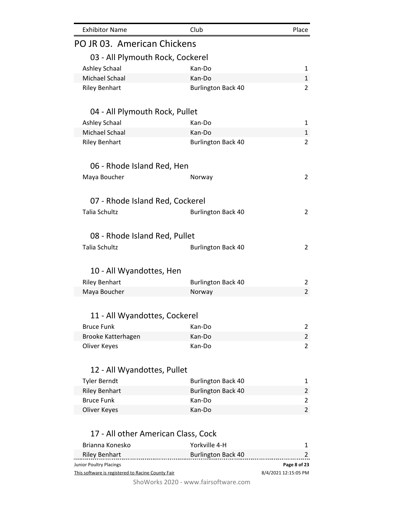| <b>Exhibitor Name</b>               | Club                      | Place                   |
|-------------------------------------|---------------------------|-------------------------|
| PO JR 03. American Chickens         |                           |                         |
| 03 - All Plymouth Rock, Cockerel    |                           |                         |
| <b>Ashley Schaal</b>                | Kan-Do                    | $\mathbf{1}$            |
| <b>Michael Schaal</b>               | Kan-Do                    | 1                       |
| <b>Riley Benhart</b>                | <b>Burlington Back 40</b> | $\overline{2}$          |
| 04 - All Plymouth Rock, Pullet      |                           |                         |
| <b>Ashley Schaal</b>                | Kan-Do                    | 1                       |
| Michael Schaal                      | Kan-Do                    | $\mathbf{1}$            |
| <b>Riley Benhart</b>                | <b>Burlington Back 40</b> | $\overline{2}$          |
|                                     |                           |                         |
| 06 - Rhode Island Red, Hen          |                           |                         |
| Maya Boucher                        | Norway                    | $\overline{2}$          |
| 07 - Rhode Island Red, Cockerel     |                           |                         |
| <b>Talia Schultz</b>                | <b>Burlington Back 40</b> | 2                       |
| 08 - Rhode Island Red, Pullet       |                           |                         |
|                                     |                           |                         |
| <b>Talia Schultz</b>                | <b>Burlington Back 40</b> | 2                       |
| 10 - All Wyandottes, Hen            |                           |                         |
| <b>Riley Benhart</b>                | <b>Burlington Back 40</b> | 2                       |
| Maya Boucher                        | Norway                    | $\overline{2}$          |
|                                     |                           |                         |
| 11 - All Wyandottes, Cockerel       |                           |                         |
| <b>Bruce Funk</b>                   | Kan-Do                    | $\overline{2}$          |
| Brooke Katterhagen                  | Kan-Do                    | 2                       |
| Oliver Keyes                        | Kan-Do                    | $\overline{\mathbf{c}}$ |
| 12 - All Wyandottes, Pullet         |                           |                         |
|                                     |                           |                         |
| <b>Tyler Berndt</b>                 | <b>Burlington Back 40</b> | 1                       |
| <b>Riley Benhart</b>                | <b>Burlington Back 40</b> | $\overline{2}$          |
| <b>Bruce Funk</b>                   | Kan-Do                    | $\overline{2}$          |
| Oliver Keyes                        | Kan-Do                    | $\overline{2}$          |
| 17 - All other American Class, Cock |                           |                         |
| Brianna Konesko                     | Yorkville 4-H             | 1                       |

| <b>Bridfind Konesko</b>                           | YOLKVIIIE 4-H             |                      |
|---------------------------------------------------|---------------------------|----------------------|
| Riley Benhart                                     | <b>Burlington Back 40</b> |                      |
| Junior Poultry Placings                           |                           | Page 8 of 23         |
| This software is registered to Racine County Fair |                           | 8/4/2021 12:15:05 PM |
|                                                   |                           |                      |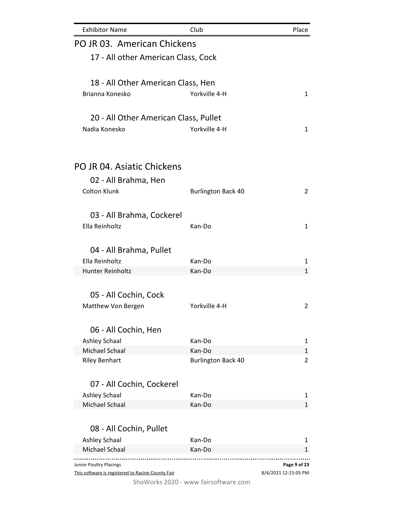| <b>Exhibitor Name</b>                                                        | Club                      | Place                                |
|------------------------------------------------------------------------------|---------------------------|--------------------------------------|
| PO JR 03. American Chickens                                                  |                           |                                      |
| 17 - All other American Class, Cock                                          |                           |                                      |
|                                                                              |                           |                                      |
| 18 - All Other American Class, Hen                                           |                           |                                      |
| Brianna Konesko                                                              | Yorkville 4-H             | 1                                    |
| 20 - All Other American Class, Pullet                                        |                           |                                      |
| Nadia Konesko                                                                | Yorkville 4-H             | 1                                    |
| PO JR 04. Asiatic Chickens                                                   |                           |                                      |
| 02 - All Brahma, Hen                                                         |                           |                                      |
| <b>Colton Klunk</b>                                                          | <b>Burlington Back 40</b> | 2                                    |
|                                                                              |                           |                                      |
| 03 - All Brahma, Cockerel                                                    |                           |                                      |
| Ella Reinholtz                                                               | Kan-Do                    | 1                                    |
|                                                                              |                           |                                      |
| 04 - All Brahma, Pullet                                                      |                           |                                      |
| Ella Reinholtz                                                               | Kan-Do                    | 1                                    |
| Hunter Reinholtz                                                             | Kan-Do                    | $\mathbf{1}$                         |
|                                                                              |                           |                                      |
| 05 - All Cochin, Cock                                                        |                           |                                      |
| Matthew Von Bergen                                                           | Yorkville 4-H             | 2                                    |
|                                                                              |                           |                                      |
| 06 - All Cochin, Hen                                                         |                           |                                      |
| <b>Ashley Schaal</b>                                                         | Kan-Do                    | 1                                    |
| <b>Michael Schaal</b>                                                        | Kan-Do                    | 1                                    |
| <b>Riley Benhart</b>                                                         | <b>Burlington Back 40</b> | 2                                    |
|                                                                              |                           |                                      |
| 07 - All Cochin, Cockerel                                                    |                           |                                      |
| <b>Ashley Schaal</b><br><b>Michael Schaal</b>                                | Kan-Do<br>Kan-Do          | 1<br>1                               |
|                                                                              |                           |                                      |
|                                                                              |                           |                                      |
| 08 - All Cochin, Pullet                                                      | Kan-Do                    | 1                                    |
| Ashley Schaal<br>Michael Schaal                                              | Kan-Do                    | 1                                    |
|                                                                              |                           |                                      |
| Junior Poultry Placings<br>This software is registered to Racine County Fair |                           | Page 9 of 23<br>8/4/2021 12:15:05 PM |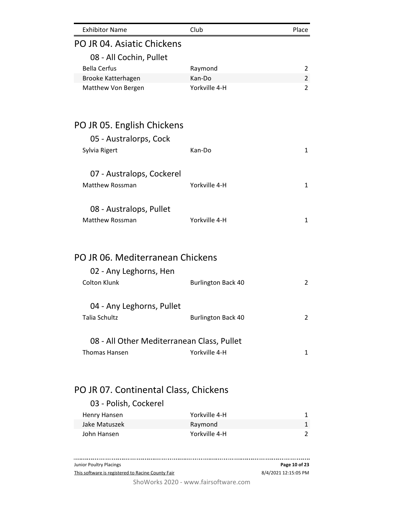| <b>Exhibitor Name</b>                         | Club                      | Place               |
|-----------------------------------------------|---------------------------|---------------------|
| PO JR 04. Asiatic Chickens                    |                           |                     |
| 08 - All Cochin, Pullet                       |                           |                     |
| <b>Bella Cerfus</b>                           | Raymond                   | $\overline{c}$      |
| Brooke Katterhagen                            | Kan-Do                    | $\overline{c}$      |
| Matthew Von Bergen                            | Yorkville 4-H             | $\overline{c}$      |
| PO JR 05. English Chickens                    |                           |                     |
| 05 - Australorps, Cock                        |                           |                     |
| Sylvia Rigert                                 | Kan-Do                    | $\mathbf{1}$        |
| 07 - Australops, Cockerel                     |                           |                     |
| <b>Matthew Rossman</b>                        | Yorkville 4-H             | 1                   |
| 08 - Australops, Pullet                       |                           |                     |
| <b>Matthew Rossman</b>                        | Yorkville 4-H             | 1                   |
| PO JR 06. Mediterranean Chickens              |                           |                     |
|                                               |                           |                     |
| 02 - Any Leghorns, Hen<br><b>Colton Klunk</b> |                           |                     |
|                                               | <b>Burlington Back 40</b> | $\overline{c}$      |
| 04 - Any Leghorns, Pullet                     |                           |                     |
| Talia Schultz                                 | <b>Burlington Back 40</b> | $\overline{c}$      |
| 08 - All Other Mediterranean Class, Pullet    |                           |                     |
| <b>Thomas Hansen</b>                          | Yorkville 4-H             | 1                   |
|                                               |                           |                     |
| PO JR 07. Continental Class, Chickens         |                           |                     |
| 03 - Polish, Cockerel                         |                           |                     |
| Henry Hansen                                  | Yorkville 4-H             | 1                   |
| Jake Matuszek<br>John Hansen                  | Raymond<br>Yorkville 4-H  | 1<br>$\overline{a}$ |
|                                               |                           |                     |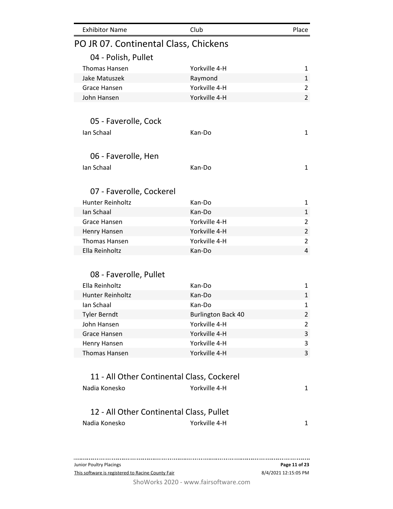| <b>Exhibitor Name</b>                      | Club                      | Place          |
|--------------------------------------------|---------------------------|----------------|
| PO JR 07. Continental Class, Chickens      |                           |                |
| 04 - Polish, Pullet                        |                           |                |
| <b>Thomas Hansen</b>                       | Yorkville 4-H             | 1              |
| Jake Matuszek                              | Raymond                   | $\mathbf 1$    |
| Grace Hansen                               | Yorkville 4-H             | $\overline{2}$ |
| John Hansen                                | Yorkville 4-H             | $\overline{2}$ |
|                                            |                           |                |
| 05 - Faverolle, Cock                       |                           |                |
| Ian Schaal                                 | Kan-Do                    | 1              |
| 06 - Faverolle, Hen                        |                           |                |
| Ian Schaal                                 | Kan-Do                    |                |
|                                            |                           | 1              |
| 07 - Faverolle, Cockerel                   |                           |                |
| Hunter Reinholtz                           | Kan-Do                    | 1              |
| Ian Schaal                                 | Kan-Do                    | $\mathbf{1}$   |
| Grace Hansen                               | Yorkville 4-H             | $\overline{2}$ |
| Henry Hansen                               | Yorkville 4-H             | $\overline{2}$ |
| <b>Thomas Hansen</b>                       | Yorkville 4-H             | $\overline{2}$ |
| Ella Reinholtz                             | Kan-Do                    | 4              |
|                                            |                           |                |
| 08 - Faverolle, Pullet                     |                           |                |
| Ella Reinholtz                             | Kan-Do                    | 1              |
| <b>Hunter Reinholtz</b>                    | Kan-Do                    | $\mathbf 1$    |
| Ian Schaal                                 | Kan-Do                    | 1              |
| <b>Tyler Berndt</b>                        | <b>Burlington Back 40</b> | 2              |
| John Hansen                                | Yorkville 4-H             | 2              |
| <b>Grace Hansen</b>                        | Yorkville 4-H             | 3              |
| Henry Hansen                               | Yorkville 4-H             | 3              |
| <b>Thomas Hansen</b>                       | Yorkville 4-H             | 3              |
|                                            |                           |                |
| 11 - All Other Continental Class, Cockerel |                           |                |
| Nadia Konesko                              | Yorkville 4-H             | $\mathbf{1}$   |
| 12 - All Other Continental Class, Pullet   |                           |                |
| Nadia Konesko                              | Yorkville 4-H             | 1              |
|                                            |                           |                |
|                                            |                           |                |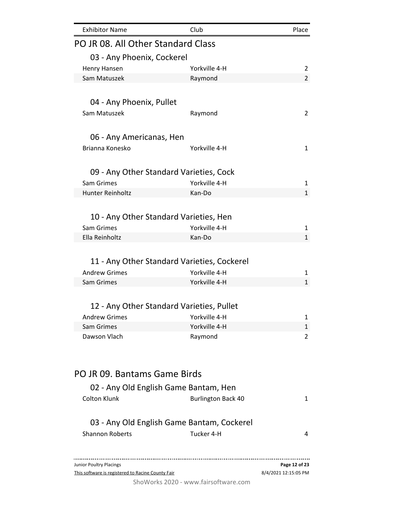| <b>Exhibitor Name</b>                                                | Club                      | Place                |
|----------------------------------------------------------------------|---------------------------|----------------------|
| PO JR 08. All Other Standard Class                                   |                           |                      |
| 03 - Any Phoenix, Cockerel                                           |                           |                      |
| Henry Hansen                                                         | Yorkville 4-H             | 2                    |
| Sam Matuszek                                                         | Raymond                   | $\overline{2}$       |
|                                                                      |                           |                      |
| 04 - Any Phoenix, Pullet                                             |                           |                      |
| Sam Matuszek                                                         | Raymond                   | 2                    |
|                                                                      |                           |                      |
| 06 - Any Americanas, Hen                                             |                           |                      |
| Brianna Konesko                                                      | Yorkville 4-H             | 1                    |
|                                                                      |                           |                      |
| 09 - Any Other Standard Varieties, Cock                              |                           |                      |
| Sam Grimes                                                           | Yorkville 4-H             | 1                    |
| Hunter Reinholtz                                                     | Kan-Do                    | $\mathbf{1}$         |
|                                                                      |                           |                      |
|                                                                      |                           |                      |
| 10 - Any Other Standard Varieties, Hen                               |                           |                      |
| Sam Grimes                                                           | Yorkville 4-H             | 1                    |
| Ella Reinholtz                                                       | Kan-Do                    | $\mathbf{1}$         |
|                                                                      |                           |                      |
| 11 - Any Other Standard Varieties, Cockerel                          |                           |                      |
| <b>Andrew Grimes</b>                                                 | Yorkville 4-H             | 1                    |
| Sam Grimes                                                           | Yorkville 4-H             | $\mathbf{1}$         |
|                                                                      |                           |                      |
| 12 - Any Other Standard Varieties, Pullet                            |                           |                      |
| <b>Andrew Grimes</b>                                                 | Yorkville 4-H             | 1                    |
| Sam Grimes                                                           | Yorkville 4-H             | 1                    |
| Dawson Vlach                                                         | Raymond                   | 2                    |
|                                                                      |                           |                      |
|                                                                      |                           |                      |
| PO JR 09. Bantams Game Birds                                         |                           |                      |
|                                                                      |                           |                      |
| 02 - Any Old English Game Bantam, Hen                                |                           |                      |
| <b>Colton Klunk</b>                                                  | <b>Burlington Back 40</b> | 1                    |
|                                                                      |                           |                      |
| 03 - Any Old English Game Bantam, Cockerel<br><b>Shannon Roberts</b> |                           |                      |
|                                                                      | Tucker 4-H                | 4                    |
|                                                                      |                           |                      |
| Junior Poultry Placings                                              |                           | Page 12 of 23        |
| This software is registered to Racine County Fair                    |                           | 8/4/2021 12:15:05 PM |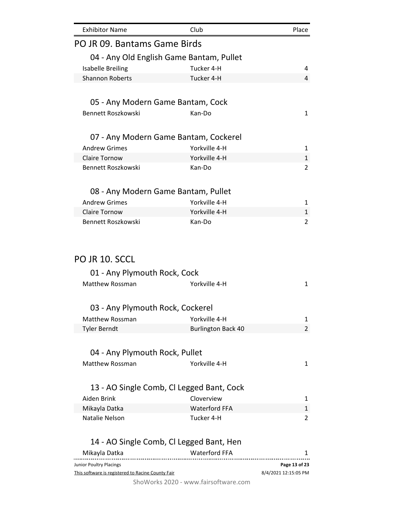| <b>Exhibitor Name</b>                             | Club                                      | Place                |
|---------------------------------------------------|-------------------------------------------|----------------------|
| PO JR 09. Bantams Game Birds                      |                                           |                      |
|                                                   | 04 - Any Old English Game Bantam, Pullet  |                      |
| <b>Isabelle Breiling</b>                          | Tucker 4-H                                | 4                    |
| <b>Shannon Roberts</b>                            | Tucker 4-H                                | 4                    |
|                                                   |                                           |                      |
| 05 - Any Modern Game Bantam, Cock                 |                                           |                      |
| Bennett Roszkowski                                | Kan-Do                                    | 1                    |
|                                                   |                                           |                      |
|                                                   | 07 - Any Modern Game Bantam, Cockerel     |                      |
| <b>Andrew Grimes</b>                              | Yorkville 4-H                             | 1                    |
| <b>Claire Tornow</b>                              | Yorkville 4-H                             | 1                    |
| Bennett Roszkowski                                | Kan-Do                                    | $\overline{2}$       |
|                                                   |                                           |                      |
| 08 - Any Modern Game Bantam, Pullet               |                                           |                      |
| <b>Andrew Grimes</b>                              | Yorkville 4-H                             | 1                    |
| <b>Claire Tornow</b>                              | Yorkville 4-H                             | 1                    |
| Bennett Roszkowski                                | Kan-Do                                    | $\overline{2}$       |
|                                                   |                                           |                      |
| PO JR 10. SCCL                                    |                                           |                      |
|                                                   |                                           |                      |
| 01 - Any Plymouth Rock, Cock                      |                                           |                      |
| <b>Matthew Rossman</b>                            | Yorkville 4-H                             | 1                    |
|                                                   |                                           |                      |
| 03 - Any Plymouth Rock, Cockerel                  |                                           |                      |
| Matthew Rossman                                   | Yorkville 4-H                             | 1                    |
| <b>Tyler Berndt</b>                               | <b>Burlington Back 40</b>                 | $\overline{2}$       |
|                                                   |                                           |                      |
| 04 - Any Plymouth Rock, Pullet                    |                                           |                      |
| <b>Matthew Rossman</b>                            | Yorkville 4-H                             | 1                    |
|                                                   |                                           |                      |
|                                                   | 13 - AO Single Comb, CI Legged Bant, Cock |                      |
| Aiden Brink                                       | Cloverview                                | 1                    |
| Mikayla Datka                                     | <b>Waterford FFA</b>                      | 1                    |
| Natalie Nelson                                    | Tucker 4-H                                | 2                    |
|                                                   | 14 - AO Single Comb, Cl Legged Bant, Hen  |                      |
| Mikayla Datka                                     | <b>Waterford FFA</b>                      | 1                    |
| Junior Poultry Placings                           |                                           | Page 13 of 23        |
| This software is registered to Racine County Fair |                                           | 8/4/2021 12:15:05 PM |
|                                                   | ShoWorks 2020 - www.fairsoftware.com      |                      |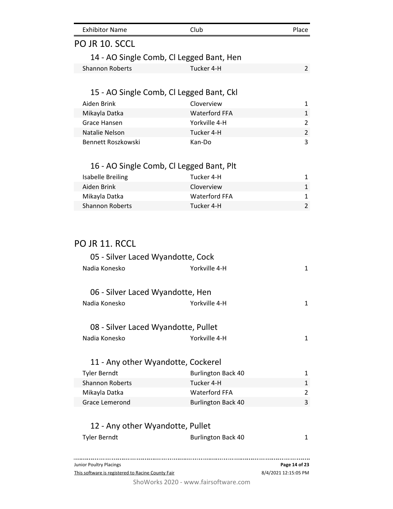| <b>Exhibitor Name</b>                                                        | Club                                 | Place                                 |
|------------------------------------------------------------------------------|--------------------------------------|---------------------------------------|
| PO JR 10. SCCL                                                               |                                      |                                       |
| 14 - AO Single Comb, Cl Legged Bant, Hen                                     |                                      |                                       |
| <b>Shannon Roberts</b>                                                       | Tucker 4-H                           | $\overline{2}$                        |
|                                                                              |                                      |                                       |
| 15 - AO Single Comb, Cl Legged Bant, Ckl                                     |                                      |                                       |
| Aiden Brink                                                                  | Cloverview                           | 1                                     |
| Mikayla Datka                                                                | <b>Waterford FFA</b>                 | $\mathbf{1}$                          |
| Grace Hansen                                                                 | Yorkville 4-H                        | 2                                     |
| Natalie Nelson                                                               | Tucker 4-H                           | $\overline{2}$                        |
| <b>Bennett Roszkowski</b>                                                    | Kan-Do                               | 3                                     |
|                                                                              |                                      |                                       |
| 16 - AO Single Comb, Cl Legged Bant, Plt                                     |                                      |                                       |
| <b>Isabelle Breiling</b>                                                     | Tucker 4-H                           | 1                                     |
| Aiden Brink                                                                  | Cloverview                           | $\mathbf{1}$                          |
| Mikayla Datka                                                                | <b>Waterford FFA</b>                 | 1                                     |
| <b>Shannon Roberts</b>                                                       | Tucker 4-H                           | 2                                     |
|                                                                              |                                      |                                       |
|                                                                              |                                      |                                       |
| PO JR 11. RCCL                                                               |                                      |                                       |
| 05 - Silver Laced Wyandotte, Cock                                            |                                      |                                       |
| Nadia Konesko                                                                | Yorkville 4-H                        | 1                                     |
|                                                                              |                                      |                                       |
| 06 - Silver Laced Wyandotte, Hen                                             |                                      |                                       |
| Nadia Konesko                                                                | Yorkville 4-H                        | 1                                     |
|                                                                              |                                      |                                       |
| 08 - Silver Laced Wyandotte, Pullet                                          |                                      |                                       |
| Nadia Konesko                                                                | Yorkville 4-H                        | 1                                     |
|                                                                              |                                      |                                       |
| 11 - Any other Wyandotte, Cockerel                                           |                                      |                                       |
| <b>Tyler Berndt</b>                                                          | <b>Burlington Back 40</b>            | 1                                     |
| <b>Shannon Roberts</b>                                                       | Tucker 4-H                           | 1                                     |
| Mikayla Datka                                                                | <b>Waterford FFA</b>                 | 2                                     |
| Grace Lemerond                                                               | <b>Burlington Back 40</b>            | 3                                     |
| 12 - Any other Wyandotte, Pullet                                             |                                      |                                       |
| <b>Tyler Berndt</b>                                                          | <b>Burlington Back 40</b>            | 1                                     |
|                                                                              |                                      |                                       |
|                                                                              |                                      |                                       |
| Junior Poultry Placings<br>This software is registered to Racine County Fair |                                      | Page 14 of 23<br>8/4/2021 12:15:05 PM |
|                                                                              | ShoWorks 2020 - www.fairsoftware.com |                                       |
|                                                                              |                                      |                                       |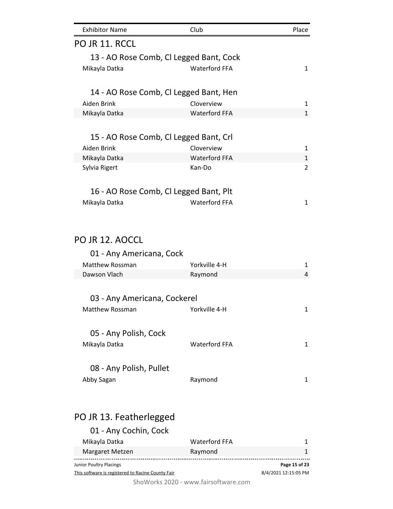| <b>Exhibitor Name</b>                   | Club                 | Place        |
|-----------------------------------------|----------------------|--------------|
| PO JR 11. RCCL                          |                      |              |
| 13 - AO Rose Comb, Cl Legged Bant, Cock |                      |              |
| Mikayla Datka                           | <b>Waterford FFA</b> | $\mathbf{1}$ |
| 14 - AO Rose Comb, CI Legged Bant, Hen  |                      |              |
| Aiden Brink                             | Cloverview           | 1            |
| Mikayla Datka                           | <b>Waterford FFA</b> | $\mathbf{1}$ |
|                                         |                      |              |
| 15 - AO Rose Comb, CI Legged Bant, Crl  |                      |              |
| Aiden Brink                             | Cloverview           | 1            |
| Mikayla Datka                           | <b>Waterford FFA</b> | 1            |
| Sylvia Rigert                           | Kan-Do               | 2            |
| 16 - AO Rose Comb, CI Legged Bant, Plt  |                      |              |
| Mikayla Datka                           | <b>Waterford FFA</b> | $\mathbf{1}$ |
| PO JR 12. AOCCL                         |                      |              |
|                                         |                      |              |
| 01 - Any Americana, Cock                |                      |              |
| <b>Matthew Rossman</b>                  | Yorkville 4-H        | 1            |
| Dawson Vlach                            | Raymond              | 4            |
| 03 - Any Americana, Cockerel            |                      |              |
| Matthew Rossman                         | Yorkville 4-H        | 1            |
|                                         |                      |              |
| 05 - Any Polish, Cock                   |                      |              |
| Mikayla Datka                           | <b>Waterford FFA</b> | 1            |
|                                         |                      |              |
| 08 - Any Polish, Pullet<br>Abby Sagan   | Raymond              | 1            |
|                                         |                      |              |
|                                         |                      |              |

# PO JR 13. Featherlegged

| 01 - Any Cochin, Cock                             |                      |                      |
|---------------------------------------------------|----------------------|----------------------|
| Mikayla Datka                                     | <b>Waterford FFA</b> |                      |
| Margaret Metzen                                   | Raymond              |                      |
| <b>Junior Poultry Placings</b>                    |                      | Page 15 of 23        |
| This software is registered to Racine County Fair |                      | 8/4/2021 12:15:05 PM |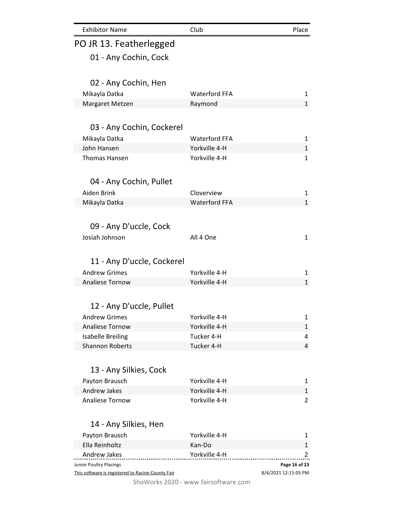| <b>Exhibitor Name</b>                             | Club                    | Place                |
|---------------------------------------------------|-------------------------|----------------------|
| PO JR 13. Featherlegged                           |                         |                      |
| 01 - Any Cochin, Cock                             |                         |                      |
|                                                   |                         |                      |
| 02 - Any Cochin, Hen                              |                         |                      |
| Mikayla Datka                                     | <b>Waterford FFA</b>    | 1                    |
| Margaret Metzen                                   | Raymond                 | $\mathbf{1}$         |
|                                                   |                         |                      |
| 03 - Any Cochin, Cockerel                         |                         |                      |
| Mikayla Datka                                     | <b>Waterford FFA</b>    | 1                    |
| John Hansen                                       | Yorkville 4-H           | $\mathbf{1}$         |
| <b>Thomas Hansen</b>                              | Yorkville 4-H           | $\mathbf{1}$         |
|                                                   |                         |                      |
| 04 - Any Cochin, Pullet                           |                         |                      |
| Aiden Brink                                       | Cloverview              | 1                    |
| Mikayla Datka                                     | <b>Waterford FFA</b>    | $\mathbf{1}$         |
|                                                   |                         |                      |
| 09 - Any D'uccle, Cock                            |                         |                      |
|                                                   |                         |                      |
| Josiah Johnson                                    | All 4 One               | $\mathbf{1}$         |
|                                                   |                         |                      |
| 11 - Any D'uccle, Cockerel                        |                         |                      |
| <b>Andrew Grimes</b>                              | Yorkville 4-H           | 1                    |
| <b>Analiese Tornow</b>                            | Yorkville 4-H           | $\mathbf{1}$         |
|                                                   |                         |                      |
| 12 - Any D'uccle, Pullet                          |                         |                      |
| <b>Andrew Grimes</b>                              | Yorkville 4-H           | 1                    |
| <b>Analiese Tornow</b>                            | Yorkville 4-H           | 1                    |
| <b>Isabelle Breiling</b>                          | Tucker 4-H              | 4                    |
| <b>Shannon Roberts</b>                            | Tucker 4-H              | 4                    |
|                                                   |                         |                      |
| 13 - Any Silkies, Cock                            |                         |                      |
| Payton Brausch                                    | Yorkville 4-H           | 1                    |
| <b>Andrew Jakes</b>                               | Yorkville 4-H           | $\mathbf{1}$         |
| <b>Analiese Tornow</b>                            | Yorkville 4-H           | 2                    |
|                                                   |                         |                      |
|                                                   |                         |                      |
| 14 - Any Silkies, Hen                             |                         |                      |
| Payton Brausch                                    | Yorkville 4-H           | 1                    |
| Ella Reinholtz<br>Andrew Jakes                    | Kan-Do<br>Yorkville 4-H | $\mathbf{1}$<br>2    |
| <b>Junior Poultry Placings</b>                    |                         | Page 16 of 23        |
| This software is registered to Racine County Fair |                         | 8/4/2021 12:15:05 PM |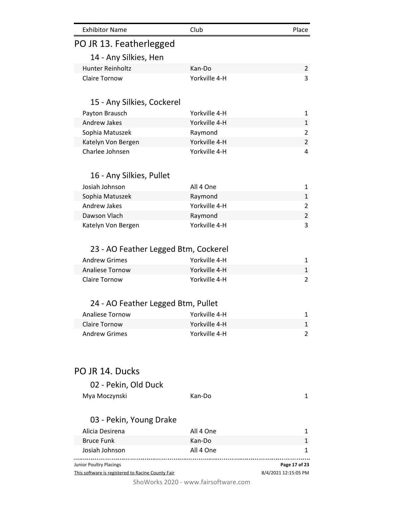| <b>Exhibitor Name</b>                             | Club                                 | Place                |
|---------------------------------------------------|--------------------------------------|----------------------|
| PO JR 13. Featherlegged                           |                                      |                      |
| 14 - Any Silkies, Hen                             |                                      |                      |
| Hunter Reinholtz                                  | Kan-Do                               | $\overline{2}$       |
| <b>Claire Tornow</b>                              | Yorkville 4-H                        | 3                    |
|                                                   |                                      |                      |
| 15 - Any Silkies, Cockerel                        |                                      |                      |
| Payton Brausch                                    | Yorkville 4-H                        | 1                    |
| <b>Andrew Jakes</b>                               | Yorkville 4-H                        | $\mathbf{1}$         |
| Sophia Matuszek                                   | Raymond                              | $\overline{2}$       |
| Katelyn Von Bergen                                | Yorkville 4-H                        | $\overline{2}$       |
| Charlee Johnsen                                   | Yorkville 4-H                        | 4                    |
|                                                   |                                      |                      |
|                                                   |                                      |                      |
| 16 - Any Silkies, Pullet                          |                                      |                      |
| Josiah Johnson                                    | All 4 One                            | 1                    |
| Sophia Matuszek                                   | Raymond                              | $\mathbf{1}$         |
| Andrew Jakes                                      | Yorkville 4-H                        | $\overline{2}$       |
| Dawson Vlach                                      | Raymond                              | $\overline{2}$       |
| Katelyn Von Bergen                                | Yorkville 4-H                        | 3                    |
|                                                   |                                      |                      |
| 23 - AO Feather Legged Btm, Cockerel              |                                      |                      |
| <b>Andrew Grimes</b>                              | Yorkville 4-H                        | $\mathbf{1}$         |
| <b>Analiese Tornow</b>                            | Yorkville 4-H                        | $\mathbf{1}$         |
| <b>Claire Tornow</b>                              | Yorkville 4-H                        | 2                    |
|                                                   |                                      |                      |
| 24 - AO Feather Legged Btm, Pullet                |                                      |                      |
| <b>Analiese Tornow</b>                            | Yorkville 4-H                        |                      |
| <b>Claire Tornow</b>                              | Yorkville 4-H                        | 1<br>1               |
| <b>Andrew Grimes</b>                              | Yorkville 4-H                        | 2                    |
|                                                   |                                      |                      |
|                                                   |                                      |                      |
|                                                   |                                      |                      |
| PO JR 14. Ducks                                   |                                      |                      |
| 02 - Pekin, Old Duck                              |                                      |                      |
|                                                   |                                      |                      |
| Mya Moczynski                                     | Kan-Do                               | 1                    |
|                                                   |                                      |                      |
| 03 - Pekin, Young Drake                           |                                      |                      |
| Alicia Desirena                                   | All 4 One                            | 1                    |
| <b>Bruce Funk</b>                                 | Kan-Do                               | 1                    |
| Josiah Johnson                                    | All 4 One                            | 1                    |
| Junior Poultry Placings                           |                                      | Page 17 of 23        |
| This software is registered to Racine County Fair |                                      | 8/4/2021 12:15:05 PM |
|                                                   | ShoWorks 2020 - www.fairsoftware.com |                      |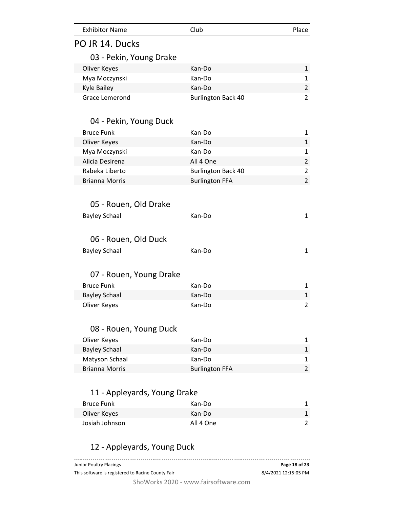| <b>Exhibitor Name</b>                             | Club                      | Place          |
|---------------------------------------------------|---------------------------|----------------|
| PO JR 14. Ducks                                   |                           |                |
| 03 - Pekin, Young Drake                           |                           |                |
| Oliver Keyes                                      | Kan-Do                    | 1              |
| Mya Moczynski                                     | Kan-Do                    | $\mathbf{1}$   |
| <b>Kyle Bailey</b>                                | Kan-Do                    | $\overline{2}$ |
| Grace Lemerond                                    | <b>Burlington Back 40</b> | $\overline{2}$ |
| 04 - Pekin, Young Duck                            |                           |                |
| <b>Bruce Funk</b>                                 | Kan-Do                    | 1              |
| Oliver Keyes                                      | Kan-Do                    | $\mathbf{1}$   |
| Mya Moczynski                                     | Kan-Do                    | $\mathbf{1}$   |
| Alicia Desirena                                   | All 4 One                 | $\overline{2}$ |
| Rabeka Liberto                                    | <b>Burlington Back 40</b> | $\overline{2}$ |
| <b>Brianna Morris</b>                             | <b>Burlington FFA</b>     | $\overline{2}$ |
| 05 - Rouen, Old Drake<br><b>Bayley Schaal</b>     | Kan-Do                    | $\mathbf{1}$   |
| 06 - Rouen, Old Duck                              |                           |                |
| <b>Bayley Schaal</b>                              | Kan-Do                    | $\mathbf{1}$   |
| 07 - Rouen, Young Drake                           |                           |                |
| <b>Bruce Funk</b>                                 | Kan-Do                    | 1              |
| <b>Bayley Schaal</b>                              | Kan-Do                    | $\mathbf{1}$   |
| Oliver Keyes                                      | Kan-Do                    | $\overline{2}$ |
| 08 - Rouen, Young Duck                            |                           |                |
| Oliver Keyes                                      | Kan-Do                    | 1              |
| <b>Bayley Schaal</b>                              | Kan-Do                    | $\mathbf{1}$   |
| Matyson Schaal                                    | Kan-Do                    | 1              |
| <b>Brianna Morris</b>                             | <b>Burlington FFA</b>     | $\overline{2}$ |
| 11 - Appleyards, Young Drake<br><b>Bruce Funk</b> | Kan-Do                    | 1              |
| Oliver Keyes                                      | Kan-Do                    | $\mathbf{1}$   |
|                                                   | All 4 One                 | 2              |

Junior Poultry Placings **Page 18 of 23** 8/4/2021 12:15:05 PM This software is registered to Racine County Fair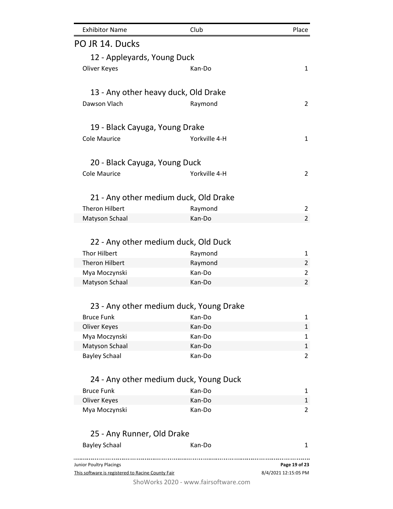| <b>Exhibitor Name</b>                                                        | Club                                    | Place                                 |
|------------------------------------------------------------------------------|-----------------------------------------|---------------------------------------|
| PO JR 14. Ducks                                                              |                                         |                                       |
| 12 - Appleyards, Young Duck                                                  |                                         |                                       |
| Oliver Keyes                                                                 | Kan-Do                                  | $\mathbf{1}$                          |
|                                                                              |                                         |                                       |
| 13 - Any other heavy duck, Old Drake                                         |                                         |                                       |
| Dawson Vlach                                                                 | Raymond                                 | $\overline{2}$                        |
| 19 - Black Cayuga, Young Drake                                               |                                         |                                       |
| <b>Cole Maurice</b>                                                          | Yorkville 4-H                           | $\mathbf{1}$                          |
|                                                                              |                                         |                                       |
| 20 - Black Cayuga, Young Duck                                                |                                         |                                       |
| Cole Maurice                                                                 | Yorkville 4-H                           | $\overline{2}$                        |
| 21 - Any other medium duck, Old Drake                                        |                                         |                                       |
| <b>Theron Hilbert</b>                                                        | Raymond                                 | $\overline{2}$                        |
| Matyson Schaal                                                               | Kan-Do                                  | $\overline{2}$                        |
|                                                                              |                                         |                                       |
| 22 - Any other medium duck, Old Duck                                         |                                         |                                       |
| <b>Thor Hilbert</b>                                                          | Raymond                                 | $\mathbf{1}$                          |
| Theron Hilbert                                                               | Raymond                                 | $\overline{2}$                        |
| Mya Moczynski                                                                | Kan-Do                                  | $\overline{2}$                        |
| Matyson Schaal                                                               | Kan-Do                                  | $\overline{2}$                        |
|                                                                              |                                         |                                       |
|                                                                              | 23 - Any other medium duck, Young Drake |                                       |
| <b>Bruce Funk</b>                                                            | Kan-Do                                  | 1                                     |
| Oliver Keyes                                                                 | Kan-Do                                  | $\mathbf{1}$                          |
| Mya Moczynski                                                                | Kan-Do                                  | 1                                     |
| Matyson Schaal                                                               | Kan-Do                                  | $\mathbf{1}$                          |
| <b>Bayley Schaal</b>                                                         | Kan-Do                                  | $\overline{2}$                        |
| 24 - Any other medium duck, Young Duck                                       |                                         |                                       |
| <b>Bruce Funk</b>                                                            | Kan-Do                                  | $\mathbf{1}$                          |
| Oliver Keyes                                                                 | Kan-Do                                  | $\mathbf{1}$                          |
| Mya Moczynski                                                                | Kan-Do                                  | $\overline{2}$                        |
|                                                                              |                                         |                                       |
|                                                                              |                                         |                                       |
| 25 - Any Runner, Old Drake                                                   |                                         |                                       |
| <b>Bayley Schaal</b>                                                         | Kan-Do                                  | 1                                     |
| Junior Poultry Placings<br>This software is registered to Racine County Fair |                                         | Page 19 of 23<br>8/4/2021 12:15:05 PM |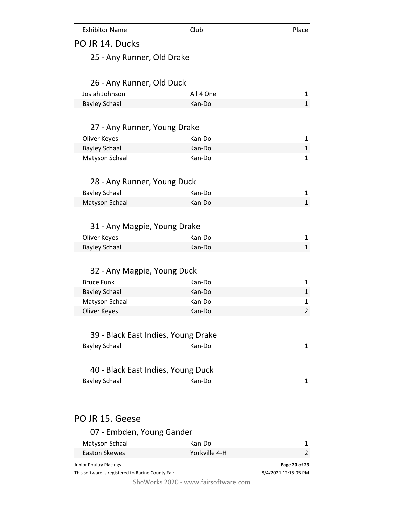| <b>Exhibitor Name</b>                        | Club      | Place        |
|----------------------------------------------|-----------|--------------|
| PO JR 14. Ducks                              |           |              |
| 25 - Any Runner, Old Drake                   |           |              |
| 26 - Any Runner, Old Duck                    |           |              |
| Josiah Johnson                               | All 4 One | 1            |
| <b>Bayley Schaal</b>                         | Kan-Do    | $\mathbf{1}$ |
| 27 - Any Runner, Young Drake                 |           |              |
| Oliver Keyes                                 | Kan-Do    | $\mathbf{1}$ |
| <b>Bayley Schaal</b>                         | Kan-Do    | $\mathbf{1}$ |
| Matyson Schaal                               | Kan-Do    | $\mathbf{1}$ |
| 28 - Any Runner, Young Duck                  |           |              |
| <b>Bayley Schaal</b>                         | Kan-Do    | 1            |
| Matyson Schaal                               | Kan-Do    | $\mathbf{1}$ |
| 31 - Any Magpie, Young Drake<br>Oliver Keyes | Kan-Do    | 1            |
| <b>Bayley Schaal</b>                         | Kan-Do    | $\mathbf{1}$ |
|                                              |           |              |
| 32 - Any Magpie, Young Duck                  |           |              |
| <b>Bruce Funk</b>                            | Kan-Do    | $\mathbf{1}$ |
| <b>Bayley Schaal</b>                         | Kan-Do    | $\mathbf{1}$ |
| Matyson Schaal                               | Kan-Do    | $\mathbf{1}$ |
| Oliver Keyes                                 | Kan-Do    | 2            |
|                                              |           |              |
| 39 - Black East Indies, Young Drake          |           |              |
| <b>Bayley Schaal</b>                         | Kan-Do    | 1            |
| 40 - Black East Indies, Young Duck           |           |              |
| <b>Bayley Schaal</b>                         | Kan-Do    | 1            |
|                                              |           |              |
| PO JR 15. Geese<br>07 - Emhden Young Gander  |           |              |
|                                              |           |              |

| <b>U</b> - Linduch, Toung Ganuch                  |               |                      |
|---------------------------------------------------|---------------|----------------------|
| Matyson Schaal                                    | Kan-Do        |                      |
| Easton Skewes                                     | Yorkville 4-H |                      |
| Junior Poultry Placings                           |               | Page 20 of 23        |
| This software is registered to Racine County Fair |               | 8/4/2021 12:15:05 PM |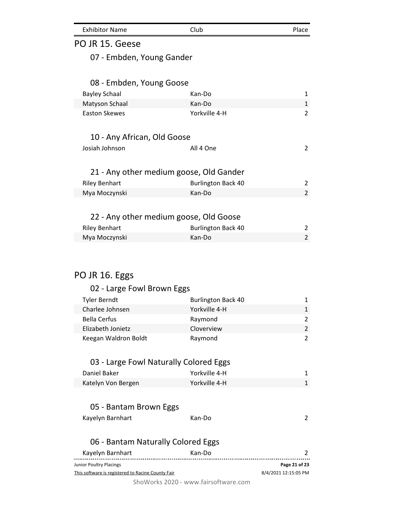Exhibitor Name Club Place

### PO JR 15. Geese

07 - Embden, Young Gander

#### 08 - Embden, Young Goose

| Bayley Schaal  | Kan-Do        |  |
|----------------|---------------|--|
| Matyson Schaal | Kan-Do        |  |
| Easton Skewes  | Yorkville 4-H |  |

#### 10 - Any African, Old Goose

| Josiah Johnson | All 4 One |  |
|----------------|-----------|--|
|                |           |  |

#### 21 - Any other medium goose, Old Gander

| <b>Riley Benhart</b> | <b>Burlington Back 40</b> |  |
|----------------------|---------------------------|--|
| Mya Moczynski        | Kan-Do                    |  |

### 22 - Any other medium goose, Old Goose

| Riley Benhart | <b>Burlington Back 40</b> |  |
|---------------|---------------------------|--|
| Mya Moczynski | Kan-Do                    |  |

### PO JR 16. Eggs

## 02 - Large Fowl Brown Eggs Tyler Berndt **Burlington Back 40** 1 Charlee Johnsen Norkville 4-H 1 Bella Cerfus **Raymond** 2 Elizabeth Jonietz Cloverview 2 Keegan Waldron Boldt **Raymond Raymond** 2

### 03 - Large Fowl Naturally Colored Eggs

| Daniel Baker       | Yorkville 4-H |  |
|--------------------|---------------|--|
| Katelyn Von Bergen | Yorkville 4-H |  |

### 05 - Bantam Brown Eggs

| Kayelyn Barnhart | Kan-Do |  |
|------------------|--------|--|
|                  |        |  |

### 06 - Bantam Naturally Colored Eggs

| Kayelyn Barnhart                                  | Kan-Do |                      |
|---------------------------------------------------|--------|----------------------|
| Junior Poultry Placings                           |        | Page 21 of 23        |
| This software is registered to Racine County Fair |        | 8/4/2021 12:15:05 PM |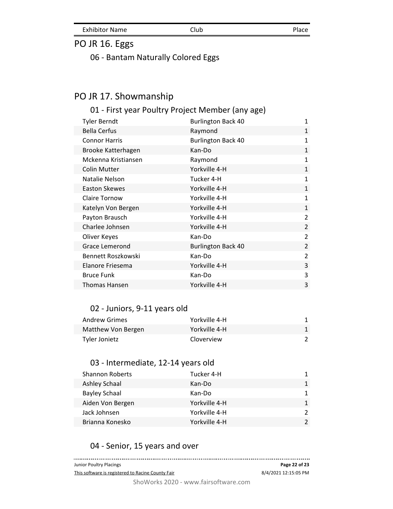Exhibitor Name Club Club Place

## PO JR 16. Eggs

06 - Bantam Naturally Colored Eggs

## PO JR 17. Showmanship

## 01 - First year Poultry Project Member (any age)

| <b>Tyler Berndt</b>  | <b>Burlington Back 40</b> | 1              |
|----------------------|---------------------------|----------------|
| <b>Bella Cerfus</b>  | Raymond                   | $\mathbf{1}$   |
| <b>Connor Harris</b> | <b>Burlington Back 40</b> | $\mathbf{1}$   |
| Brooke Katterhagen   | Kan-Do                    | $\mathbf{1}$   |
| Mckenna Kristiansen  | Raymond                   | $\mathbf{1}$   |
| Colin Mutter         | Yorkville 4-H             | $\mathbf{1}$   |
| Natalie Nelson       | Tucker 4-H                | $\mathbf{1}$   |
| <b>Easton Skewes</b> | Yorkville 4-H             | $\mathbf{1}$   |
| Claire Tornow        | Yorkville 4-H             | $\mathbf{1}$   |
| Katelyn Von Bergen   | Yorkville 4-H             | $\mathbf{1}$   |
| Payton Brausch       | Yorkville 4-H             | 2              |
| Charlee Johnsen      | Yorkville 4-H             | $\overline{2}$ |
| Oliver Keyes         | Kan-Do                    | $\overline{2}$ |
| Grace Lemerond       | <b>Burlington Back 40</b> | $\overline{2}$ |
| Bennett Roszkowski   | Kan-Do                    | $\overline{2}$ |
| Elanore Friesema     | Yorkville 4-H             | 3              |
| <b>Bruce Funk</b>    | Kan-Do                    | 3              |
| <b>Thomas Hansen</b> | Yorkville 4-H             | 3              |

#### 02 - Juniors, 9-11 years old

| Andrew Grimes      | Yorkville 4-H |  |
|--------------------|---------------|--|
| Matthew Von Bergen | Yorkville 4-H |  |
| Tyler Jonietz      | Cloverview    |  |

### 03 - Intermediate, 12-14 years old

| <b>Shannon Roberts</b> | Tucker 4-H    |  |
|------------------------|---------------|--|
| Ashley Schaal          | Kan-Do        |  |
| <b>Bayley Schaal</b>   | Kan-Do        |  |
| Aiden Von Bergen       | Yorkville 4-H |  |
| Jack Johnsen           | Yorkville 4-H |  |
| Brianna Konesko        | Yorkville 4-H |  |

### 04 - Senior, 15 years and over

| <b>Junior Poultry Placings</b>                    | Page 22 of 23        |
|---------------------------------------------------|----------------------|
| This software is registered to Racine County Fair | 8/4/2021 12:15:05 PM |
|                                                   |                      |